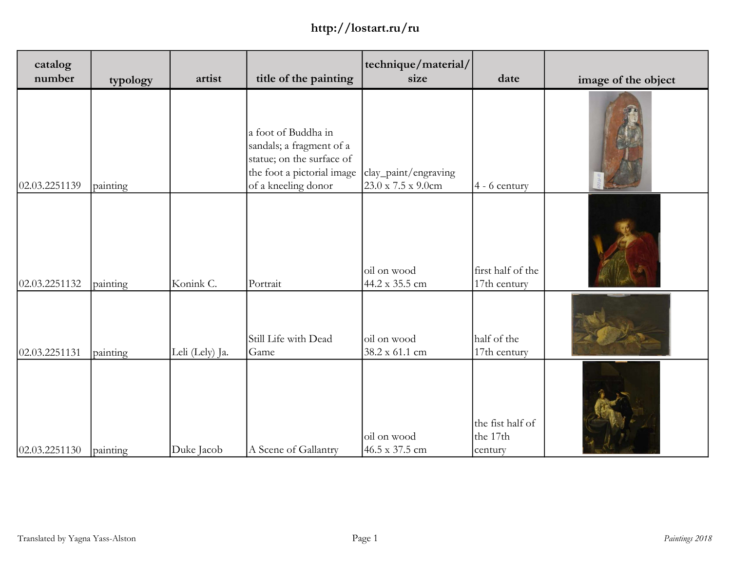| catalog<br>number | typology | artist          | title of the painting                                                                                                             | technique/material/<br>size                             | date                                    | image of the object |
|-------------------|----------|-----------------|-----------------------------------------------------------------------------------------------------------------------------------|---------------------------------------------------------|-----------------------------------------|---------------------|
| 02.03.2251139     | painting |                 | a foot of Buddha in<br>sandals; a fragment of a<br>statue; on the surface of<br>the foot a pictorial image<br>of a kneeling donor | clay_paint/engraving<br>$23.0 \times 7.5 \times 9.0$ cm | 4 - 6 century                           |                     |
| 02.03.2251132     | painting | Konink C.       | Portrait                                                                                                                          | oil on wood<br>44.2 x 35.5 cm                           | first half of the<br>17th century       |                     |
| 02.03.2251131     | painting | Leli (Lely) Ja. | Still Life with Dead<br>Game                                                                                                      | oil on wood<br>38.2 x 61.1 cm                           | half of the<br>17th century             |                     |
| 02.03.2251130     | painting | Duke Jacob      | A Scene of Gallantry                                                                                                              | oil on wood<br>46.5 x 37.5 cm                           | the fist half of<br>the 17th<br>century |                     |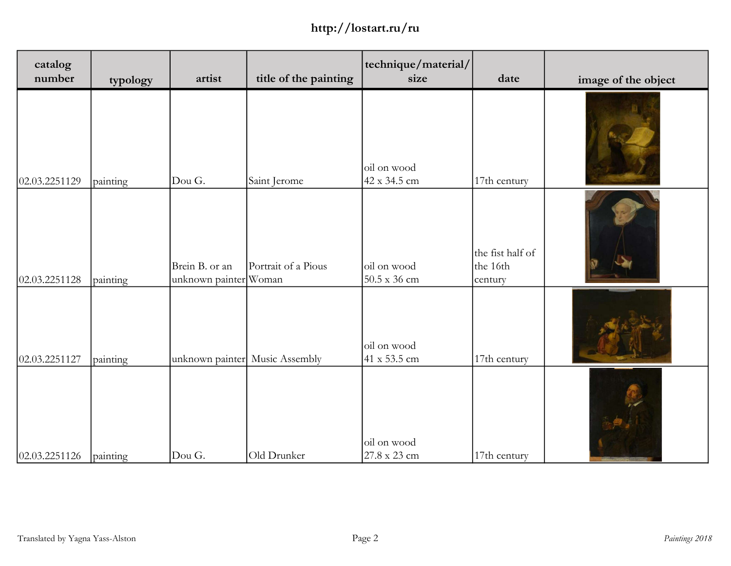| catalog<br>number | typology | artist                                  | title of the painting          | technique/material/<br>size        | date                                    | image of the object |
|-------------------|----------|-----------------------------------------|--------------------------------|------------------------------------|-----------------------------------------|---------------------|
| 02.03.2251129     | painting | Dou G.                                  | Saint Jerome                   | oil on wood<br>42 x 34.5 cm        | 17th century                            |                     |
| 02.03.2251128     | painting | Brein B. or an<br>unknown painter Woman | Portrait of a Pious            | oil on wood<br>$50.5 \times 36$ cm | the fist half of<br>the 16th<br>century |                     |
| 02.03.2251127     | painting |                                         | unknown painter Music Assembly | oil on wood<br>41 x 53.5 cm        | 17th century                            |                     |
| 02.03.2251126     | painting | Dou G.                                  | Old Drunker                    | oil on wood<br>27.8 x 23 cm        | 17th century                            |                     |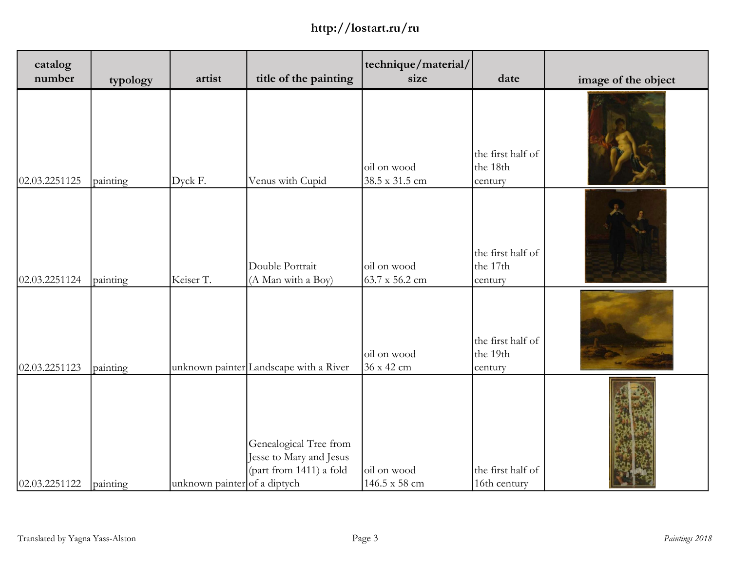| catalog<br>number | typology | artist                       | title of the painting                                                        | technique/material/<br>size   | date                                     | image of the object |
|-------------------|----------|------------------------------|------------------------------------------------------------------------------|-------------------------------|------------------------------------------|---------------------|
| 02.03.2251125     | painting | Dyck F.                      | Venus with Cupid                                                             | oil on wood<br>38.5 x 31.5 cm | the first half of<br>the 18th<br>century |                     |
| 02.03.2251124     | painting | Keiser T.                    | Double Portrait<br>(A Man with a Boy)                                        | oil on wood<br>63.7 x 56.2 cm | the first half of<br>the 17th<br>century |                     |
| 02.03.2251123     | painting |                              | unknown painter Landscape with a River                                       | oil on wood<br>36 x 42 cm     | the first half of<br>the 19th<br>century |                     |
| 02.03.2251122     | painting | unknown painter of a diptych | Genealogical Tree from<br>Jesse to Mary and Jesus<br>(part from 1411) a fold | oil on wood<br>146.5 x 58 cm  | the first half of<br>16th century        |                     |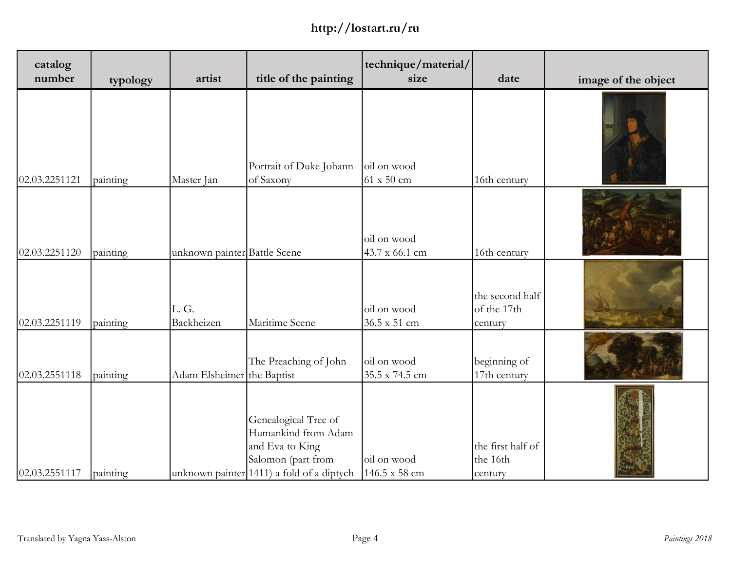| catalog<br>number | typology | artist                       | title of the painting                                                                                                                | technique/material/<br>size      | date                                      | image of the object |
|-------------------|----------|------------------------------|--------------------------------------------------------------------------------------------------------------------------------------|----------------------------------|-------------------------------------------|---------------------|
| 02.03.2251121     | painting | Master Jan                   | Portrait of Duke Johann<br>of Saxony                                                                                                 | oil on wood<br>$61 \times 50$ cm | 16th century                              |                     |
| 02.03.2251120     | painting | unknown painter Battle Scene |                                                                                                                                      | oil on wood<br>43.7 x 66.1 cm    | 16th century                              |                     |
| 02.03.2251119     | painting | L.G.<br>Backheizen           | Maritime Scene                                                                                                                       | oil on wood<br>36.5 x 51 cm      | the second half<br>of the 17th<br>century |                     |
| 02.03.2551118     | painting | Adam Elsheimer the Baptist   | The Preaching of John                                                                                                                | oil on wood<br>35.5 x 74.5 cm    | beginning of<br>17th century              |                     |
| 02.03.2551117     | painting |                              | Genealogical Tree of<br>Humankind from Adam<br>and Eva to King<br>Salomon (part from<br>unknown painter $(1411)$ a fold of a diptych | oil on wood<br>146.5 x 58 cm     | the first half of<br>the 16th<br>century  |                     |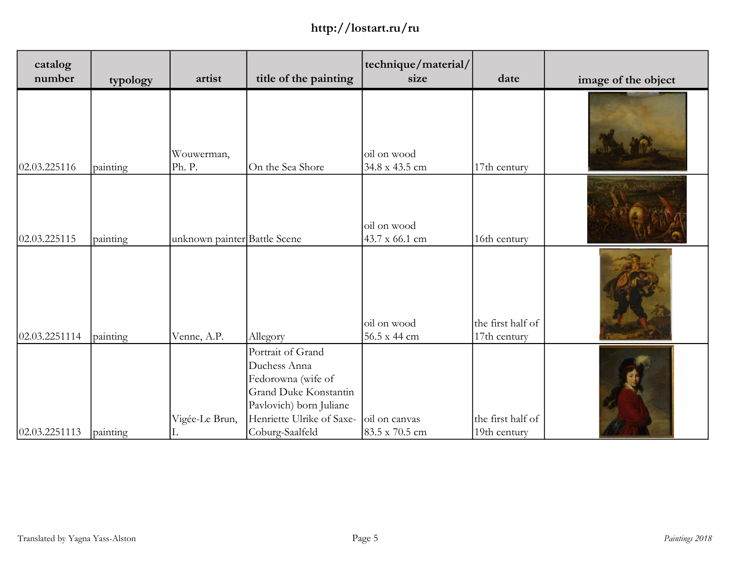| catalog<br>number | typology | artist                       | title of the painting                                                                                                                                       | technique/material/<br>size     | date                              | image of the object |
|-------------------|----------|------------------------------|-------------------------------------------------------------------------------------------------------------------------------------------------------------|---------------------------------|-----------------------------------|---------------------|
| 02.03.225116      | painting | Wouwerman,<br>Ph. P.         | On the Sea Shore                                                                                                                                            | oil on wood<br>34.8 x 43.5 cm   | 17th century                      |                     |
| 02.03.225115      | painting | unknown painter Battle Scene |                                                                                                                                                             | oil on wood<br>43.7 x 66.1 cm   | 16th century                      |                     |
| 02.03.2251114     | painting | Venne, A.P.                  | Allegory                                                                                                                                                    | oil on wood<br>56.5 x 44 cm     | the first half of<br>17th century |                     |
| 02.03.2251113     | painting | Vigée-Le Brun,               | Portrait of Grand<br>Duchess Anna<br>Fedorowna (wife of<br>Grand Duke Konstantin<br>Pavlovich) born Juliane<br>Henriette Ulrike of Saxe-<br>Coburg-Saalfeld | oil on canvas<br>83.5 x 70.5 cm | the first half of<br>19th century |                     |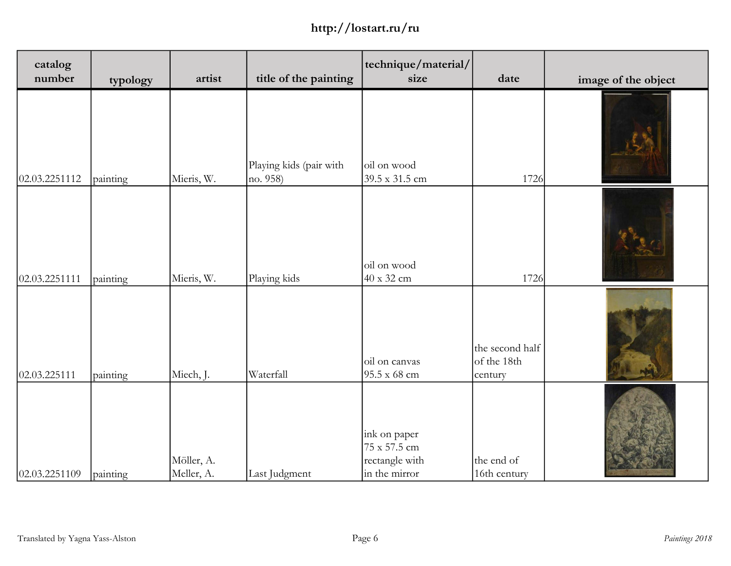| catalog<br>number | typology | artist                   | title of the painting               | technique/material/<br>size                                     | date                                      | image of the object |
|-------------------|----------|--------------------------|-------------------------------------|-----------------------------------------------------------------|-------------------------------------------|---------------------|
| 02.03.2251112     | painting | Mieris, W.               | Playing kids (pair with<br>no. 958) | oil on wood<br>39.5 x 31.5 cm                                   | 1726                                      |                     |
| 02.03.2251111     | painting | Mieris, W.               | Playing kids                        | oil on wood<br>$40 \times 32$ cm                                | 1726                                      |                     |
| 02.03.225111      | painting | Miech, J.                | Waterfall                           | oil on canvas<br>95.5 x 68 cm                                   | the second half<br>of the 18th<br>century | NA                  |
| 02.03.2251109     | painting | Möller, A.<br>Meller, A. | Last Judgment                       | ink on paper<br>75 x 57.5 cm<br>rectangle with<br>in the mirror | the end of<br>16th century                |                     |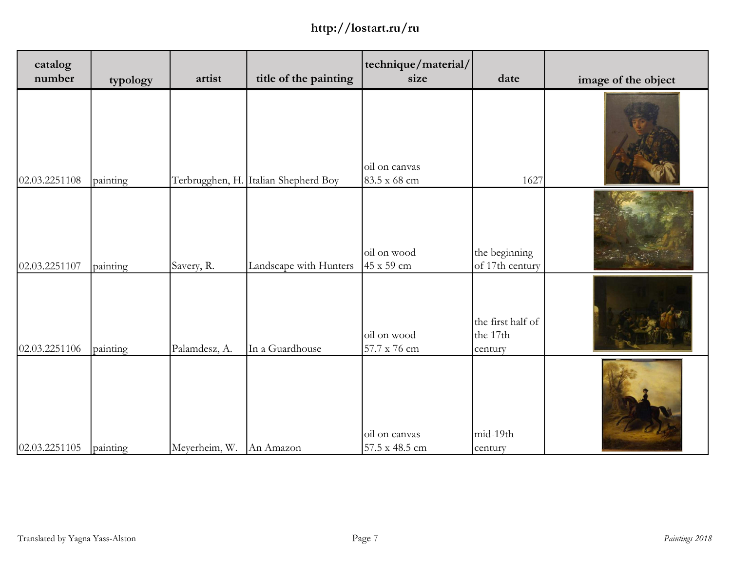| catalog<br>number | typology | artist          | title of the painting  | technique/material/<br>size      | date                                     | image of the object |
|-------------------|----------|-----------------|------------------------|----------------------------------|------------------------------------------|---------------------|
| 02.03.2251108     | painting | Terbrugghen, H. | Italian Shepherd Boy   | oil on canvas<br>83.5 x 68 cm    | 1627                                     |                     |
| 02.03.2251107     | painting | Savery, R.      | Landscape with Hunters | oil on wood<br>$45 \times 59$ cm | the beginning<br>of 17th century         |                     |
| 02.03.2251106     | painting | Palamdesz, A.   | In a Guardhouse        | oil on wood<br>57.7 x 76 cm      | the first half of<br>the 17th<br>century |                     |
| 02.03.2251105     | painting | Meyerheim, W.   | An Amazon              | oil on canvas<br>57.5 x 48.5 cm  | mid-19th<br>century                      |                     |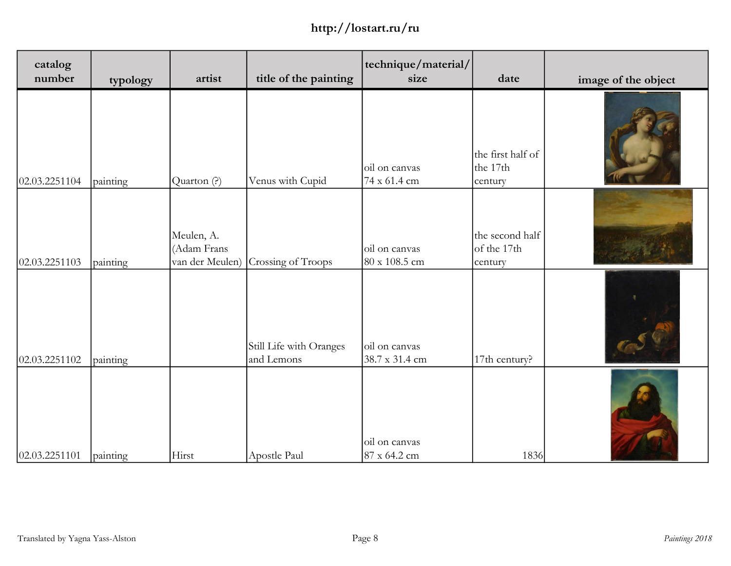| catalog<br>number | typology | artist                                       | title of the painting                 | technique/material/<br>size     | date                                      | image of the object |
|-------------------|----------|----------------------------------------------|---------------------------------------|---------------------------------|-------------------------------------------|---------------------|
| 02.03.2251104     | painting | Quarton (?)                                  | Venus with Cupid                      | oil on canvas<br>74 x 61.4 cm   | the first half of<br>the 17th<br>century  |                     |
| 02.03.2251103     | painting | Meulen, A.<br>(Adam Frans<br>van der Meulen) | Crossing of Troops                    | oil on canvas<br>80 x 108.5 cm  | the second half<br>of the 17th<br>century |                     |
| 02.03.2251102     | painting |                                              | Still Life with Oranges<br>and Lemons | oil on canvas<br>38.7 x 31.4 cm | 17th century?                             |                     |
| 02.03.2251101     | painting | Hirst                                        | Apostle Paul                          | oil on canvas<br>87 x 64.2 cm   | 1836                                      |                     |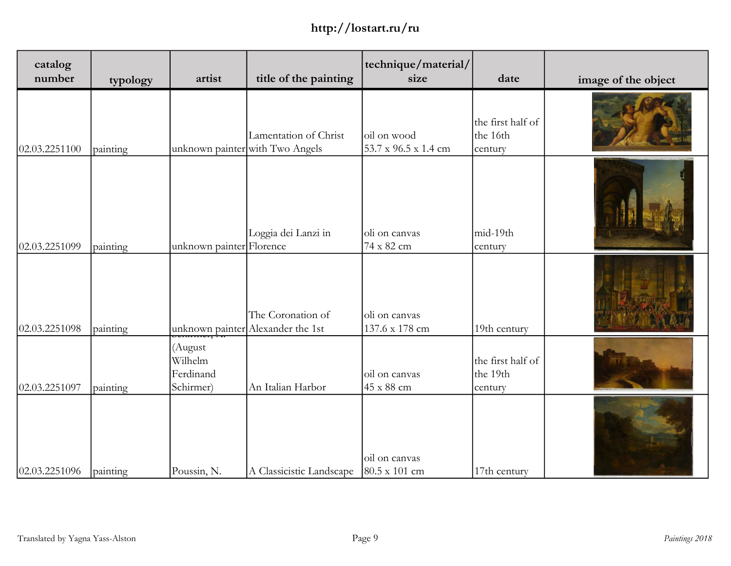| catalog<br>number | typology | artist                                       | title of the painting                                    | technique/material/<br>size         | date                                     | image of the object |
|-------------------|----------|----------------------------------------------|----------------------------------------------------------|-------------------------------------|------------------------------------------|---------------------|
| 02.03.2251100     | painting |                                              | Lamentation of Christ<br>unknown painter with Two Angels | oil on wood<br>53.7 x 96.5 x 1.4 cm | the first half of<br>the 16th<br>century |                     |
| 02.03.2251099     | painting | unknown painter Florence                     | Loggia dei Lanzi in                                      | oli on canvas<br>74 x 82 cm         | mid-19th<br>century                      |                     |
| 02.03.2251098     | painting |                                              | The Coronation of<br>unknown painter Alexander the 1st   | oli on canvas<br>137.6 x 178 cm     | 19th century                             |                     |
| 02.03.2251097     | painting | (August<br>Wilhelm<br>Ferdinand<br>Schirmer) | An Italian Harbor                                        | oil on canvas<br>45 x 88 cm         | the first half of<br>the 19th<br>century |                     |
| 02.03.2251096     | painting | Poussin, N.                                  | A Classicistic Landscape                                 | oil on canvas<br>80.5 x 101 cm      | 17th century                             |                     |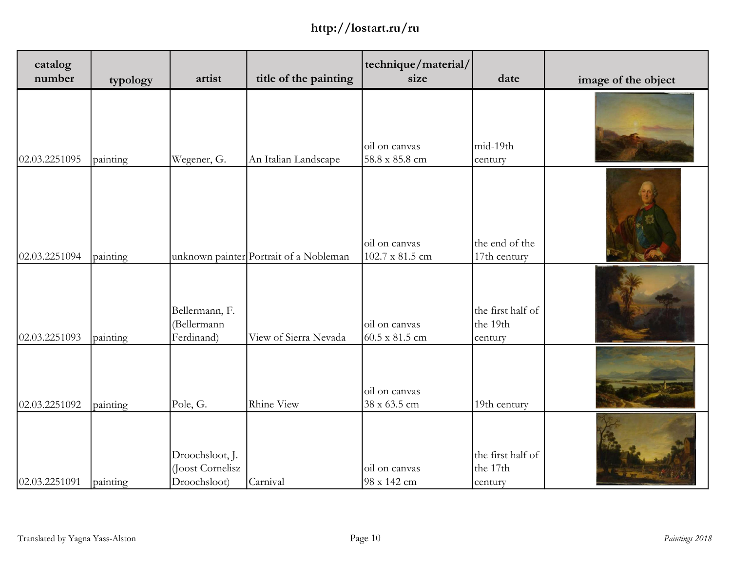| catalog<br>number | typology | artist                                              | title of the painting                  | technique/material/<br>size      | date                                     | image of the object |
|-------------------|----------|-----------------------------------------------------|----------------------------------------|----------------------------------|------------------------------------------|---------------------|
| 02.03.2251095     | painting | Wegener, G.                                         | An Italian Landscape                   | oil on canvas<br>58.8 x 85.8 cm  | mid-19th<br>century                      |                     |
| 02.03.2251094     | painting |                                                     | unknown painter Portrait of a Nobleman | oil on canvas<br>102.7 x 81.5 cm | the end of the<br>17th century           |                     |
| 02.03.2251093     | painting | Bellermann, F.<br>(Bellermann<br>Ferdinand)         | View of Sierra Nevada                  | oil on canvas<br>60.5 x 81.5 cm  | the first half of<br>the 19th<br>century |                     |
| 02.03.2251092     | painting | Pole, G.                                            | Rhine View                             | oil on canvas<br>38 x 63.5 cm    | 19th century                             |                     |
| 02.03.2251091     | painting | Droochsloot, J.<br>(Joost Cornelisz<br>Droochsloot) | Carnival                               | oil on canvas<br>98 x 142 cm     | the first half of<br>the 17th<br>century |                     |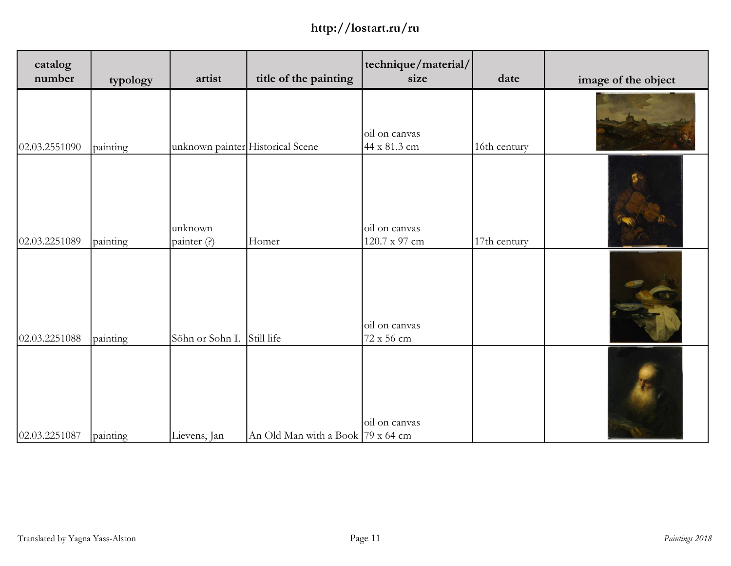| catalog<br>number | typology | artist                           | title of the painting             | technique/material/<br>size    | date         | image of the object |
|-------------------|----------|----------------------------------|-----------------------------------|--------------------------------|--------------|---------------------|
| 02.03.2551090     | painting | unknown painter Historical Scene |                                   | oil on canvas<br>44 x 81.3 cm  | 16th century |                     |
| 02.03.2251089     | painting | unknown<br>painter (?)           | Homer                             | oil on canvas<br>120.7 x 97 cm | 17th century |                     |
| 02.03.2251088     | painting | Söhn or Sohn I.                  | Still life                        | oil on canvas<br>72 x 56 cm    |              |                     |
| 02.03.2251087     | painting | Lievens, Jan                     | An Old Man with a Book 79 x 64 cm | oil on canvas                  |              |                     |